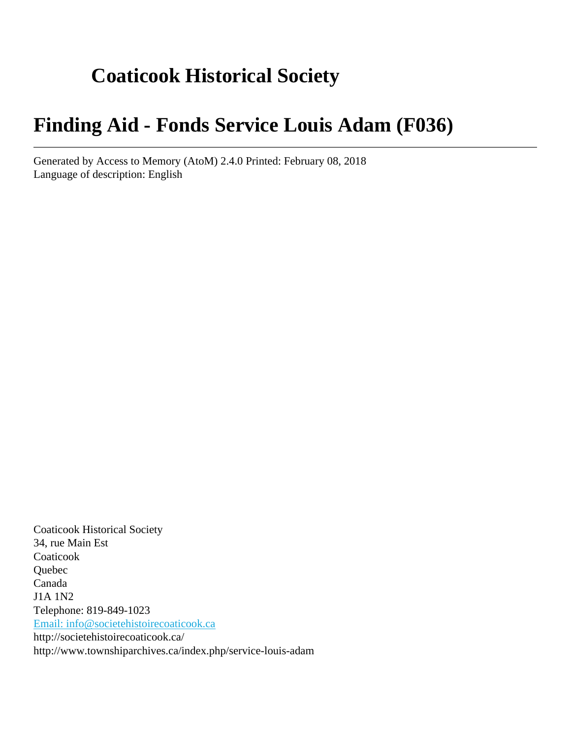# **Coaticook Historical Society**

# **Finding Aid - Fonds Service Louis Adam (F036)**

Generated by Access to Memory (AtoM) 2.4.0 Printed: February 08, 2018 Language of description: English

Coaticook Historical Society 34, rue Main Est **Coaticook** Quebec Canada J1A 1N2 Telephone: 819-849-1023 [Email: info@societehistoirecoaticook.ca](mailto:Email: info@societehistoirecoaticook.ca) http://societehistoirecoaticook.ca/ http://www.townshiparchives.ca/index.php/service-louis-adam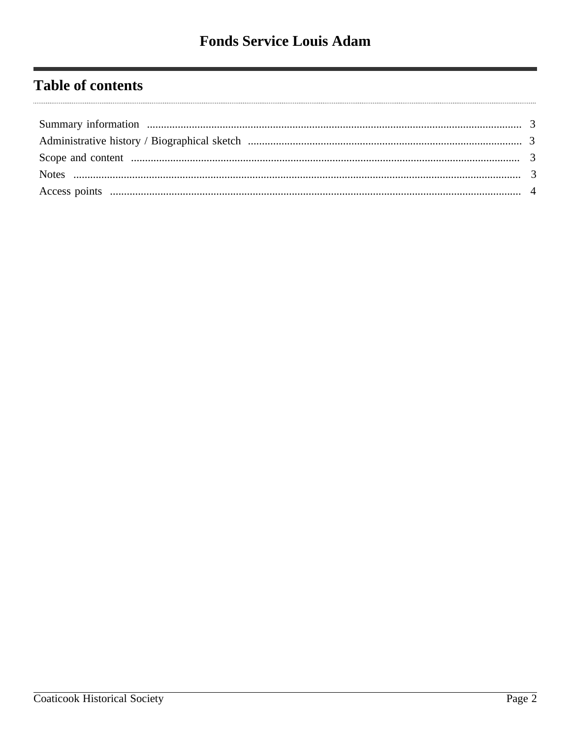## **Table of contents**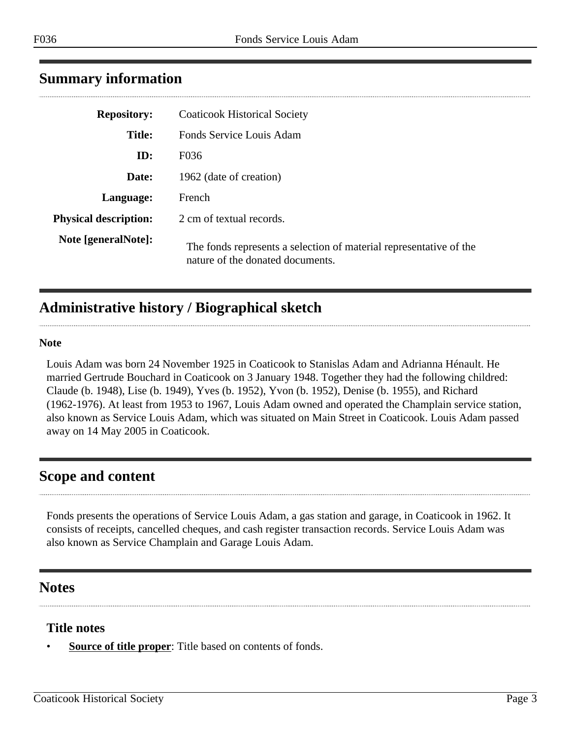| <b>Repository:</b>           | <b>Coaticook Historical Society</b>                                                                    |
|------------------------------|--------------------------------------------------------------------------------------------------------|
| <b>Title:</b>                | Fonds Service Louis Adam                                                                               |
| ID:                          | F036                                                                                                   |
| Date:                        | 1962 (date of creation)                                                                                |
| Language:                    | French                                                                                                 |
| <b>Physical description:</b> | 2 cm of textual records.                                                                               |
| Note [generalNote]:          | The fonds represents a selection of material representative of the<br>nature of the donated documents. |

### <span id="page-2-0"></span>**Summary information**

## <span id="page-2-1"></span>**Administrative history / Biographical sketch**

#### **Note**

Louis Adam was born 24 November 1925 in Coaticook to Stanislas Adam and Adrianna Hénault. He married Gertrude Bouchard in Coaticook on 3 January 1948. Together they had the following childred: Claude (b. 1948), Lise (b. 1949), Yves (b. 1952), Yvon (b. 1952), Denise (b. 1955), and Richard (1962-1976). At least from 1953 to 1967, Louis Adam owned and operated the Champlain service station, also known as Service Louis Adam, which was situated on Main Street in Coaticook. Louis Adam passed away on 14 May 2005 in Coaticook.

### <span id="page-2-2"></span>**Scope and content**

Fonds presents the operations of Service Louis Adam, a gas station and garage, in Coaticook in 1962. It consists of receipts, cancelled cheques, and cash register transaction records. Service Louis Adam was also known as Service Champlain and Garage Louis Adam.

#### <span id="page-2-3"></span>**Notes**

#### **Title notes**

**Source of title proper**: Title based on contents of fonds.